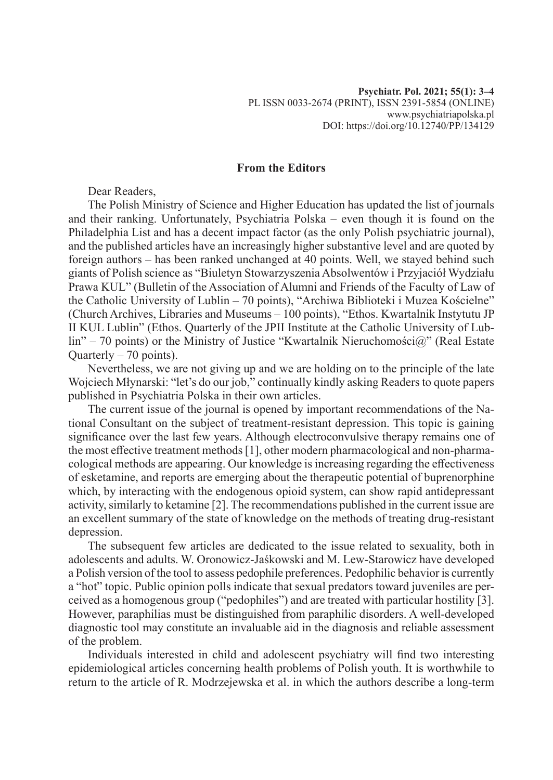## **From the Editors**

Dear Readers,

The Polish Ministry of Science and Higher Education has updated the list of journals and their ranking. Unfortunately, Psychiatria Polska – even though it is found on the Philadelphia List and has a decent impact factor (as the only Polish psychiatric journal), and the published articles have an increasingly higher substantive level and are quoted by foreign authors – has been ranked unchanged at 40 points. Well, we stayed behind such giants of Polish science as "Biuletyn Stowarzyszenia Absolwentów i Przyjaciół Wydziału Prawa KUL" (Bulletin of the Association of Alumni and Friends of the Faculty of Law of the Catholic University of Lublin – 70 points), "Archiwa Biblioteki i Muzea Kościelne" (Church Archives, Libraries and Museums – 100 points), "Ethos. Kwartalnik Instytutu JP II KUL Lublin" (Ethos. Quarterly of the JPII Institute at the Catholic University of Lublin" – 70 points) or the Ministry of Justice "Kwartalnik Nieruchomości@" (Real Estate Quarterly – 70 points).

Nevertheless, we are not giving up and we are holding on to the principle of the late Wojciech Młynarski: "let's do our job," continually kindly asking Readers to quote papers published in Psychiatria Polska in their own articles.

The current issue of the journal is opened by important recommendations of the National Consultant on the subject of treatment-resistant depression. This topic is gaining significance over the last few years. Although electroconvulsive therapy remains one of the most effective treatment methods [1], other modern pharmacological and non-pharmacological methods are appearing. Our knowledge is increasing regarding the effectiveness of esketamine, and reports are emerging about the therapeutic potential of buprenorphine which, by interacting with the endogenous opioid system, can show rapid antidepressant activity, similarly to ketamine [2]. The recommendations published in the current issue are an excellent summary of the state of knowledge on the methods of treating drug-resistant depression.

The subsequent few articles are dedicated to the issue related to sexuality, both in adolescents and adults. W. Oronowicz-Jaśkowski and M. Lew-Starowicz have developed a Polish version of the tool to assess pedophile preferences. Pedophilic behavior is currently a "hot" topic. Public opinion polls indicate that sexual predators toward juveniles are perceived as a homogenous group ("pedophiles") and are treated with particular hostility [3]. However, paraphilias must be distinguished from paraphilic disorders. A well-developed diagnostic tool may constitute an invaluable aid in the diagnosis and reliable assessment of the problem.

Individuals interested in child and adolescent psychiatry will find two interesting epidemiological articles concerning health problems of Polish youth. It is worthwhile to return to the article of R. Modrzejewska et al. in which the authors describe a long-term